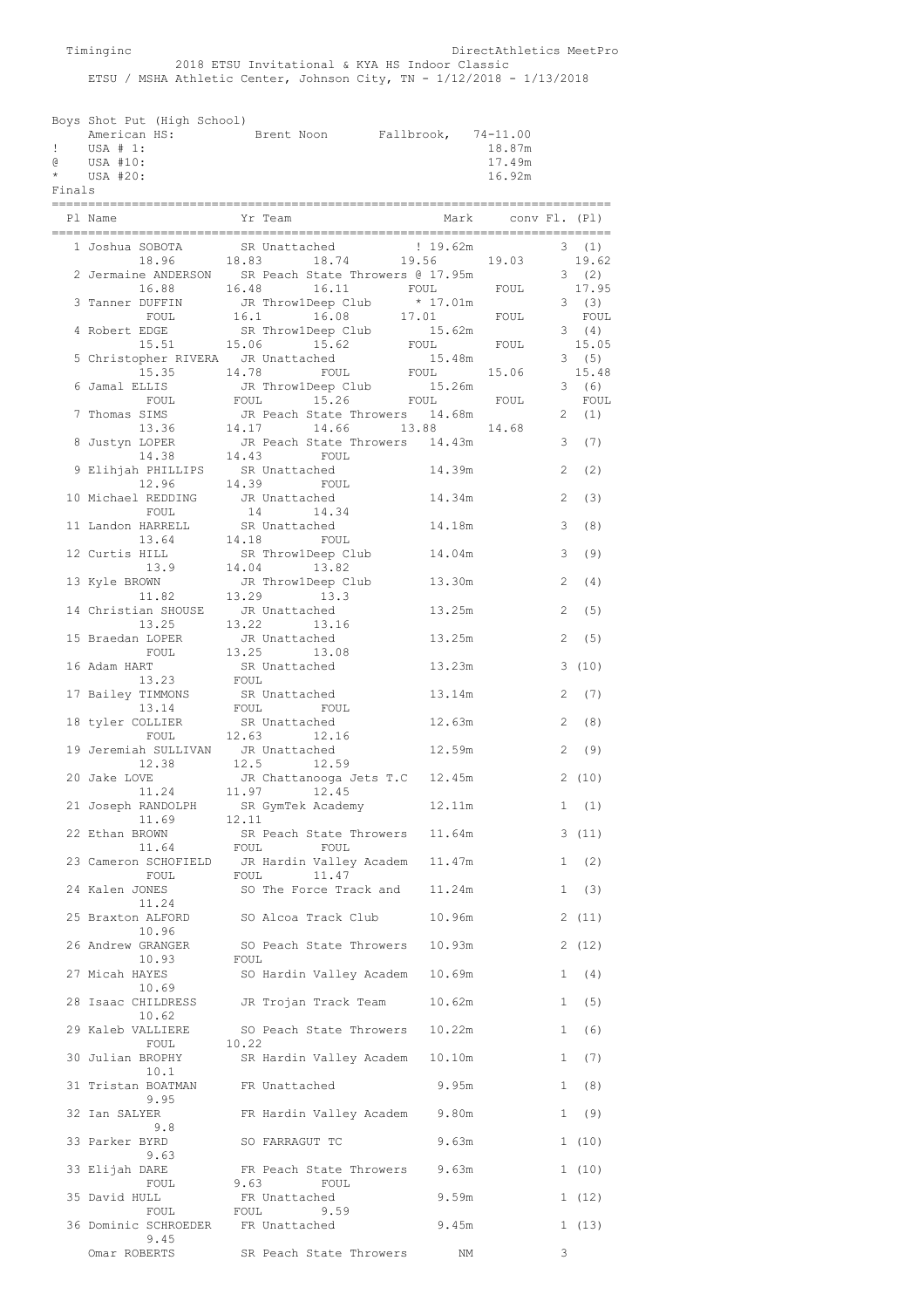Timinginc DirectAthletics MeetPro 2018 ETSU Invitational & KYA HS Indoor Classic ETSU / MSHA Athletic Center, Johnson City, TN - 1/12/2018 - 1/13/2018

|        | Boys Shot Put (High School) |  |            |                     |        |
|--------|-----------------------------|--|------------|---------------------|--------|
|        | American HS:                |  | Brent Noon | Fallbrook, 74-11.00 |        |
| -11 -  | USA # 1:                    |  |            |                     | 18.87m |
| ദ      | USA #10:                    |  |            |                     | 17.49m |
|        | $\star$ USA #20:            |  |            |                     | 16.92m |
| Finals |                             |  |            |                     |        |

| Pl Name                                    | Yr Team                                                      | Mark                  | conv Fl. (Pl) |                       |
|--------------------------------------------|--------------------------------------------------------------|-----------------------|---------------|-----------------------|
| ----------<br>1 Joshua SOBOTA              | SR Unattached                                                | 19.62m                |               | 3(1)                  |
| 18.96                                      | 18.83 18.74                                                  | 19.56                 | 19.03         | 19.62                 |
|                                            | 2 Jermaine ANDERSON SR Peach State Throwers @ 17.95m         |                       |               | 3(2)                  |
| 16.88<br>3 Tanner DUFFIN                   | 16.48<br>16.11                                               | FOUL                  | FOUL          | 17.95<br>3(3)         |
| FOUL                                       | JR Throw1Deep Club * 17.01m<br>16.1   16.08   17.01          |                       | FOUL          | FOUL                  |
| 4 Robert EDGE<br>15.51                     | SR ThrowlDeep Club 15.62m<br>15.06<br>15.62                  | FOUL                  | FOUL          | 3(4)<br>15.05         |
| 5 Christopher RIVERA JR Unattached         |                                                              | 15.48m                |               | 3(5)                  |
| 15.35<br>6 Jamal ELLIS                     | 14.78<br>FOUL<br>JR ThrowlDeep Club                          | FOUL<br>15.26m        | 15.06         | 15.48<br>(6)<br>3     |
| FOUL                                       | FOUL<br>15.26<br>FOUL                                        |                       | FOUL          | FOUL                  |
| 7 Thomas SIMS                              | JR Peach State Throwers                                      | 14.68m                |               | (1)<br>2              |
| 13.36                                      | 14.17 14.66                                                  | 13.88 14.68<br>14.43m |               | (7)<br>3              |
|                                            | 8 Justyn LOPER JR Peach State Throwers<br>14.38 14.43 FOUL   |                       |               |                       |
| 9 Elihjah PHILLIPS SR Unattached<br>12.96  | 14.39<br>FOUL                                                | 14.39m                |               | $\overline{2}$<br>(2) |
| 10 Michael REDDING JR Unattached           |                                                              | 14.34m                | 2             | (3)                   |
| FOUL                                       | 14<br>14.34                                                  |                       |               |                       |
| 11 Landon HARRELL<br>13.64                 | SR Unattached<br>14.18<br>FOUL                               | 14.18m                |               | 3<br>(8)              |
| 12 Curtis HILL                             | SR ThrowlDeep Club<br>14.04 13.82                            | 14.04m                | 3             | (9)                   |
| 13.9<br>13 Kyle BROWN                      | JR ThrowlDeep Club                                           | 13.30m                |               | $\overline{2}$<br>(4) |
| 11.82                                      | 13.29<br>13.3                                                |                       |               |                       |
| 14 Christian SHOUSE JR Unattached          |                                                              | 13.25m                | 2             | (5)                   |
| 13.25<br>15 Braedan LOPER                  | 13.22 13.16<br>JR Unattached                                 | 13.25m                | 2             | (5)                   |
| FOUL                                       | 13.25<br>13.08                                               |                       |               |                       |
| 16 Adam HART<br>13.23                      | SR Unattached<br>FOUL                                        | 13.23m                |               | 3<br>(10)             |
| 17 Bailey TIMMONS                          | SR Unattached                                                | 13.14m                |               | 2<br>(7)              |
| 13.14<br>18 tyler COLLIER                  | FOUL<br>FOUL<br>SR Unattached                                | 12.63m                | 2             | (8)                   |
| FOUL                                       | 12.63 12.16                                                  |                       |               |                       |
| 19 Jeremiah SULLIVAN JR Unattached         |                                                              | 12.59m                | 2             | (9)                   |
| 12.38<br>20 Jake LOVE                      | 12.5<br>12.59<br>JR Chattanooga Jets T.C                     | 12.45m                |               | 2(10)                 |
| 11.24                                      | 11.97<br>12.45                                               |                       |               |                       |
|                                            | 21 Joseph RANDOLPH SR GymTek Academy<br>11.69 12.11          | 12.11m                | 1             | (1)                   |
| 22 Ethan BROWN                             | SR Peach State Throwers                                      | 11.64m                |               | 3(11)                 |
| 11.64                                      | FOUL<br>FOUL<br>23 Cameron SCHOFIELD JR Hardin Valley Academ | 11.47m                | $\mathbf{1}$  | (2)                   |
| FOUL                                       | FOUL<br>11.47                                                |                       |               |                       |
| 24 Kalen JONES                             | SO The Force Track and                                       | 11.24m                |               | 1<br>(3)              |
| 11.24<br>25 Braxton ALFORD                 | SO Alcoa Track Club                                          | 10.96m                |               | 2(11)                 |
| 10.96                                      |                                                              |                       |               |                       |
| 26 Andrew GRANGER<br>10.93                 | SO Peach State Throwers<br>FOUL                              | 10.93m                |               | 2(12)                 |
| 27 Micah HAYES                             | SO Hardin Valley Academ                                      | 10.69m                |               | 1<br>(4)              |
| 10.69<br>28 Isaac CHILDRESS                | JR Trojan Track Team                                         | 10.62m                |               | 1 (5)                 |
| 10.62                                      |                                                              |                       |               |                       |
| 29 Kaleb VALLIERE<br>FOUL                  | SO Peach State Throwers<br>10.22                             | 10.22m                |               | (6)<br>1              |
| 30 Julian BROPHY                           | SR Hardin Valley Academ                                      | 10.10m                |               | 1 (7)                 |
| 10.1                                       |                                                              |                       |               |                       |
| 31 Tristan BOATMAN<br>9.95                 | FR Unattached                                                | 9.95m                 |               | (8)<br>$\mathbf{1}$   |
| 32 Ian SALYER                              | FR Hardin Valley Academ                                      | 9.80m                 |               | 1(9)                  |
| 9.8<br>33 Parker BYRD                      | SO FARRAGUT TC                                               | 9.63m                 |               | 1(10)                 |
| 9.63                                       |                                                              |                       |               |                       |
| 33 Elijah DARE<br>FOUL                     | FR Peach State Throwers<br>9.63<br>FOUL                      | 9.63m                 |               | 1(10)                 |
| 35 David HULL                              | FR Unattached                                                | 9.59m                 |               | 1(12)                 |
| FOUL<br>36 Dominic SCHROEDER FR Unattached | 9.59<br>FOUL                                                 | 9.45m                 |               | 1(13)                 |
| 9.45                                       |                                                              |                       |               |                       |
| Omar ROBERTS                               | SR Peach State Throwers                                      | NΜ                    | 3             |                       |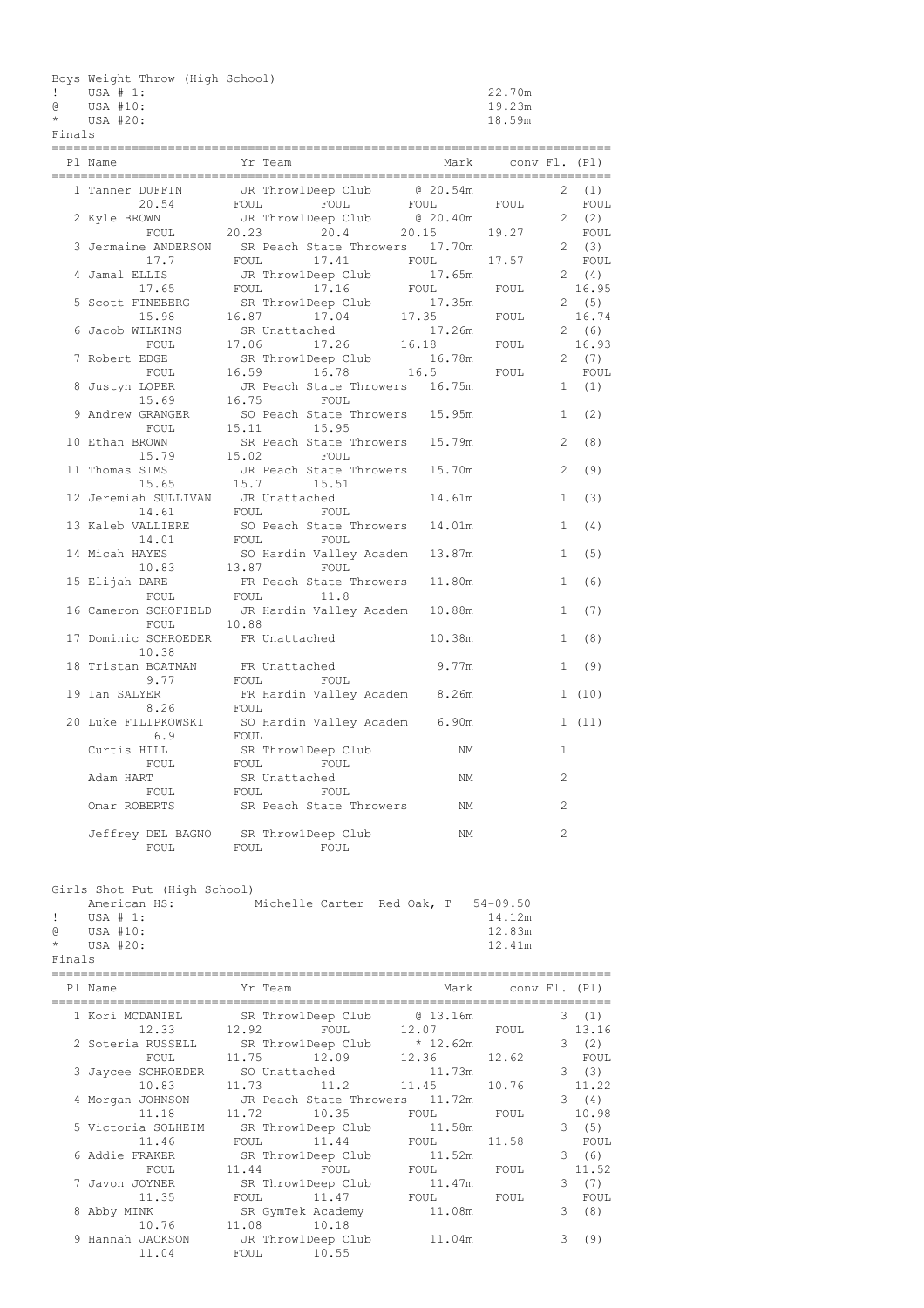Boys Weight Throw (High School)

! USA # 1: 22.70m

@ USA #10: 19.23m

|  | I |  |
|--|---|--|
|  |   |  |

| $\star$ | USA #20: | 18.59m |
|---------|----------|--------|
|         |          |        |

| Finals      |                                             |                                                                     |                   |                    |              |               |
|-------------|---------------------------------------------|---------------------------------------------------------------------|-------------------|--------------------|--------------|---------------|
|             | Pl Name                                     | Yr Team                                                             | Mark              | conv Fl. (Pl)      |              |               |
|             | 1 Tanner DUFFIN<br>20.54                    | JR Throw1Deep Club @ 20.54m<br>FOUL<br>FOUL                         | FOUL              | FOUL               | 2            | (1)<br>FOUL   |
|             | 2 Kyle BROWN<br>FOUL                        | JR ThrowlDeep Club<br>20.23<br>20.4                                 | 0.20.40m<br>20.15 | 19.27              |              | 2(2)<br>FOUL  |
|             | 17.7                                        | 3 Jermaine ANDERSON SR Peach State Throwers 17.70m<br>FOUL<br>17.41 | FOUL              | 17.57              |              | 2(3)<br>FOUL  |
|             | 4 Jamal ELLIS                               | JR ThrowlDeep Club                                                  | 17.65m            |                    |              | 2(4)          |
|             | 17.65<br>5 Scott FINEBERG                   | FOUL<br>17.16<br>SR ThrowlDeep Club                                 | FOUL<br>17.35m    | FOUL               |              | 16.95<br>2(5) |
|             | 15.98<br>6 Jacob WILKINS                    | 16.87<br>17.04<br>SR Unattached                                     | 17.35<br>17.26m   | FOUL               | 2            | 16.74<br>(6)  |
|             | FOUL<br>7 Robert EDGE                       | 17.06<br>17.26<br>SR ThrowlDeep Club                                | 16.18<br>16.78m   | FOUL               |              | 16.93<br>2(7) |
|             | FOUL                                        | 16.59<br>16.78                                                      | 16.5              | FOUL               |              | FOUL          |
|             | 8 Justyn LOPER<br>15.69                     | JR Peach State Throwers<br>16.75<br>FOUL                            | 16.75m            |                    | 1            | (1)           |
|             | 9 Andrew GRANGER<br>FOUL                    | SO Peach State Throwers<br>15.11<br>15.95                           | 15.95m            |                    | 1            | (2)           |
|             | 10 Ethan BROWN<br>15.79                     | SR Peach State Throwers<br>15.02<br>FOUL                            | 15.79m            |                    | 2            | (8)           |
|             | 11 Thomas SIMS<br>15.65                     | JR Peach State Throwers<br>15.7<br>15.51                            | 15.70m            |                    | 2            | (9)           |
|             | 12 Jeremiah SULLIVAN JR Unattached<br>14.61 | FOUL<br>FOUL                                                        | 14.61m            |                    | $\mathbf{1}$ | (3)           |
|             | 13 Kaleb VALLIERE                           | SO Peach State Throwers                                             | 14.01m            |                    | 1            | (4)           |
|             | 14.01<br>14 Micah HAYES                     | FOUL<br>FOUL<br>SO Hardin Valley Academ                             | 13.87m            |                    | $\mathbf{1}$ | (5)           |
|             | 10.83<br>15 Elijah DARE                     | 13.87<br>FOUL.<br>FR Peach State Throwers                           | 11.80m            |                    | 1            | (6)           |
|             | FOUL<br>16 Cameron SCHOFIELD                | FOUL<br>11.8<br>JR Hardin Valley Academ                             | 10.88m            |                    | $\mathbf{1}$ | (7)           |
|             | FOUL<br>17 Dominic SCHROEDER                | 10.88<br>FR Unattached                                              | 10.38m            |                    | 1            | (8)           |
|             | 10.38                                       |                                                                     |                   |                    |              |               |
|             | 18 Tristan BOATMAN<br>9.77                  | FR Unattached<br>FOUL<br>FOUL                                       | 9.77m             |                    | $\mathbf{1}$ | (9)           |
|             | 19 Ian SALYER<br>8.26                       | FR Hardin Valley Academ<br>FOUL                                     | 8.26m             |                    |              | 1(10)         |
|             | 20 Luke FILIPKOWSKI<br>6.9                  | SO Hardin Valley Academ<br>FOUL                                     | 6.90m             |                    |              | 1(11)         |
|             | Curtis HILL<br>FOUL                         | SR ThrowlDeep Club                                                  | ΝM                |                    | 1            |               |
|             | Adam HART                                   | FOUL<br>FOUL<br>SR Unattached                                       | ΝM                |                    | 2            |               |
|             | FOUL<br>Omar ROBERTS                        | FOUL<br>FOUL<br>SR Peach State Throwers                             | ΝM                |                    | 2            |               |
|             |                                             | Jeffrey DEL BAGNO SR ThrowlDeep Club                                | NΜ                |                    | 2            |               |
|             | FOUL                                        | FOUL<br>FOUL                                                        |                   |                    |              |               |
|             | Girls Shot Put (High School)                |                                                                     |                   |                    |              |               |
|             | American HS:                                | Michelle Carter Red Oak, T 54-09.50                                 |                   |                    |              |               |
| Ŧ           | USA $# 1:$                                  |                                                                     |                   | 14.12m             |              |               |
| G.          | USA #10:                                    |                                                                     |                   | 12.83m             |              |               |
| *<br>Finals | USA #20:                                    |                                                                     |                   | 12.41m             |              |               |
|             | --------------------------<br>Pl Name       | Yr Team                                                             |                   | Mark conv Fl. (Pl) |              |               |
|             |                                             |                                                                     |                   |                    |              |               |

| Pl Name                                         |                  |                                     |       |   |       |
|-------------------------------------------------|------------------|-------------------------------------|-------|---|-------|
| 1 Kori MCDANIEL SR ThrowlDeep Club @ 13.16m     |                  |                                     |       |   | 3(1)  |
|                                                 |                  | 12.33 12.92 FOUL 12.07 FOUL         |       |   | 13.16 |
| 2 Soteria RUSSELL SR ThrowlDeep Club * 12.62m   |                  |                                     |       |   | 3(2)  |
|                                                 | FOUL 11.75 12.09 | 12.36 12.62                         |       |   | FOUL  |
| 3 Jaycee SCHROEDER SO Unattached 11.73m         |                  |                                     |       |   | 3(3)  |
| 10.83                                           |                  | $11.73$ $11.2$ $11.45$              | 10.76 |   | 11.22 |
| 4 Morgan JOHNSON JR Peach State Throwers 11.72m |                  |                                     |       |   | 3(4)  |
|                                                 |                  | 11.18   11.72   10.35   FOUL   FOUL |       |   | 10.98 |
| 5 Victoria SOLHEIM SR ThrowlDeep Club 11.58m    |                  |                                     |       |   | 3(5)  |
| 11.46                                           |                  | FOUL 11.44 FOUL                     | 11.58 |   | FOUL  |
| 6 Addie FRAKER SR ThrowlDeep Club 11.52m        |                  |                                     |       |   | 3(6)  |
| FOUL                                            |                  | 11.44 FOUL FOUL FOUL FOUL           |       |   | 11.52 |
| 7 Javon JOYNER                                  |                  | SR ThrowlDeep Club 11.47m           |       |   | 3(7)  |
| 11.35                                           |                  | FOUL 11.47 FOUL FOUL                |       |   | FOUL  |
| 8 Abby MINK SR GymTek Academy 11.08m            |                  |                                     |       | 3 | (8)   |
| 10.76                                           | 11.08 10.18      |                                     |       |   |       |
| 9 Hannah JACKSON       JR Throw1Deep Club       |                  | 11.04m                              |       | 3 | (9)   |
| 11.04                                           | FOUL 10.55       |                                     |       |   |       |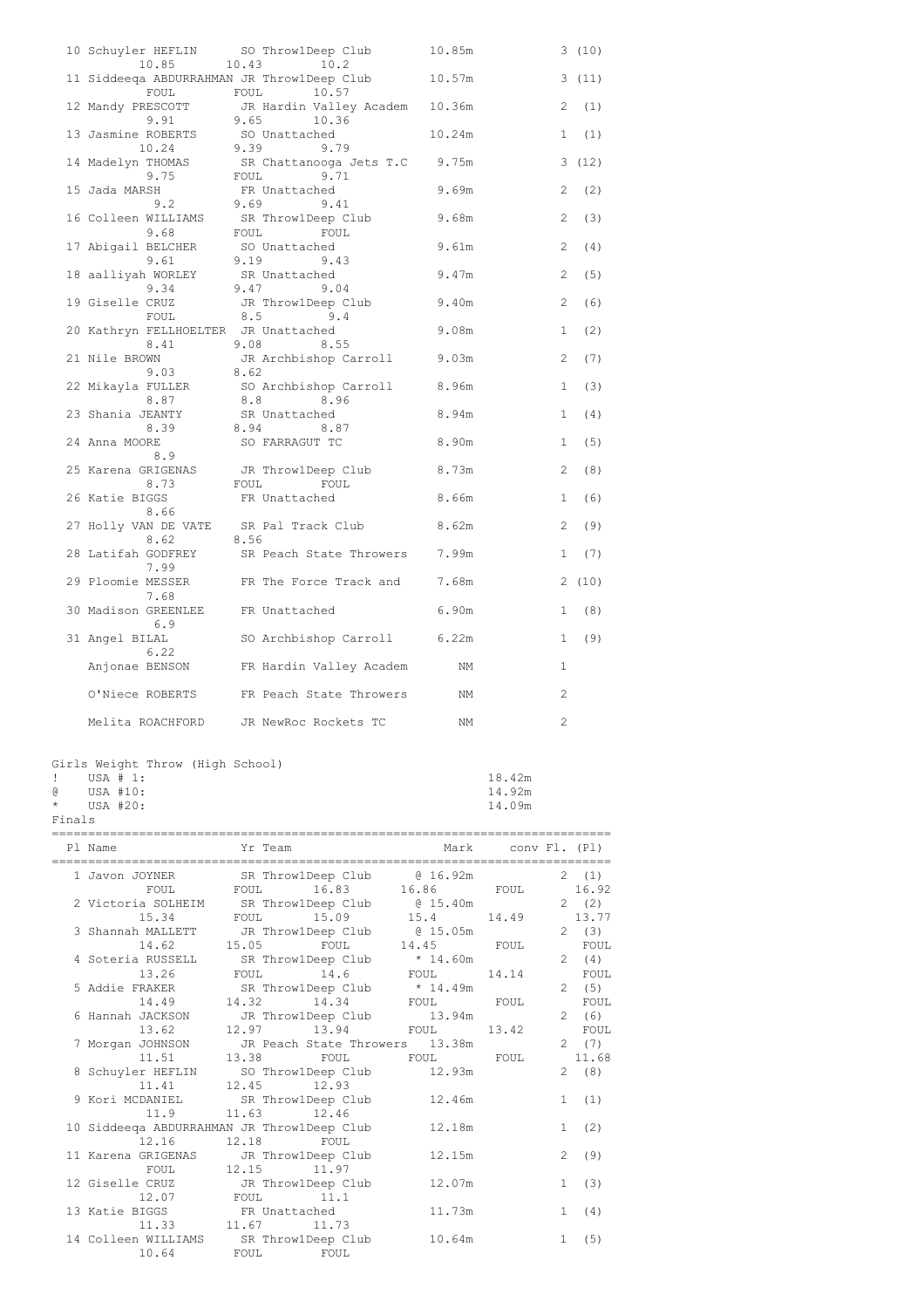| 10.85                                             | 10 Schuyler HEFLIN SO Throw1Deep Club<br>10.43<br>10.2        | 10.85m | 3 (10)                |
|---------------------------------------------------|---------------------------------------------------------------|--------|-----------------------|
| FOUL                                              | 11 Siddeega ABDURRAHMAN JR Throw1Deep Club<br>FOUL<br>10.57   | 10.57m | 3(11)                 |
| 12 Mandy PRESCOTT<br>9.91<br>9.91                 | JR Hardin Valley Academ<br>9.65        10.36<br>9.65<br>10.36 | 10.36m | 2<br>(1)              |
| 13 Jasmine ROBERTS<br>10.24                       | SO Unattached<br>9.39<br>9.79                                 | 10.24m | (1)<br>1              |
| 14 Madelyn THOMAS<br>9 75<br>9.75                 | SR Chattanooga Jets T.C 9.75m<br>FOUL 9.71                    |        | (12)<br>3             |
| 15 Jada MARSH<br>9.2                              | FR Unattached<br>9.69 9.4<br>9.41                             | 9.69m  | 2<br>(2)              |
|                                                   | 16 Colleen WILLIAMS SR ThrowlDeep Club<br>9.68 FOUL FOUL FOUL | 9.68m  | $\overline{c}$<br>(3) |
| 17 Abigail BELCHER SO Unattached<br>9.61 9.19 9.4 |                                                               | 9.61m  | 2<br>(4)              |
| 18 aalliyah WORLEY SR Unattached                  | 9.43                                                          | 9.47m  | 2<br>(5)              |
| 9.34<br>19 Giselle CRUZ                           | 9.47<br>9.04<br>JR ThrowlDeep Club                            | 9.40m  | $\overline{2}$<br>(6) |
| FOUL<br>20 Kathryn FELLHOELTER JR Unattached      | 8.5<br>9.4                                                    | 9.08m  | (2)<br>$\mathbf{1}$   |
| 8.41<br>21 Nile BROWN                             | 9.08<br>8.55<br>JR Archbishop Carroll 9.03m                   |        | 2<br>(7)              |
| 9.03                                              | 8.62<br>22 Mikayla FULLER SO Archbishop Carroll 8.96m         |        | $\mathbf{1}$<br>(3)   |
| 8.87<br>23 Shania JEANTY                          | 8.8<br>8.96<br>SR Unattached                                  | 8.94m  | $\mathbf{1}$<br>(4)   |
| 8.39<br>24 Anna MOORE<br>8.9                      | 8.94 8.87<br>SO FARRAGUT TC                                   | 8.90m  | (5)<br>1              |
| 8.73                                              | 25 Karena GRIGENAS JR Throw1Deep Club<br>FOUL<br>FOUL         | 8.73m  | 2<br>(8)              |
| 26 Katie BIGGS<br>8.66                            | FR Unattached                                                 | 8.66m  | $\mathbf{1}$<br>(6)   |
| 27 Holly VAN DE VATE SR Pal Track Club<br>8.62    | 8.56                                                          | 8.62m  | 2<br>(9)              |
| 28 Latifah GODFREY<br>7.99                        | SR Peach State Throwers                                       | 7.99m  | (7)<br>1              |
| 29 Ploomie MESSER<br>7.68                         | FR The Force Track and                                        | 7.68m  | 2(10)                 |
| 30 Madison GREENLEE<br>6.9                        | FR Unattached                                                 | 6.90m  | (8)<br>1              |
| 31 Angel BILAL<br>6.22                            | SO Archbishop Carroll 6.22m                                   |        | (9)<br>1              |
| Anjonae BENSON                                    | FR Hardin Valley Academ                                       | NΜ     | $\mathbf{1}$          |
| O'Niece ROBERTS                                   | FR Peach State Throwers                                       | ΝM     | 2                     |
| Melita ROACHFORD                                  | JR NewRoc Rockets TC                                          | ΝM     | $\overline{c}$        |

Girls Weight Throw (High School) ! USA # 1: 18.42m

@ USA #10: 14.92m \* USA #20: 14.09m

Finals

| Pl Name                                           |                  | Yr Team Mark Conv Fl. (Pl)                 |              |       |
|---------------------------------------------------|------------------|--------------------------------------------|--------------|-------|
| 1 Javon JOYNER SR ThrowlDeep Club (e 16.92m 2 (1) |                  |                                            |              |       |
|                                                   |                  | FOUL FOUL 16.83 16.86 FOUL 16.92           |              |       |
| 2 Victoria SOLHEIM SR ThrowlDeep Club @ 15.40m    |                  |                                            |              | 2(2)  |
|                                                   |                  | 15.34 FOUL 15.09 15.4 14.49 13.77          |              |       |
| 3 Shannah MALLETT JR ThrowlDeep Club @ 15.05m     |                  |                                            |              | 2(3)  |
|                                                   |                  | 14.62   15.05   FOUL   14.45   FOUL   FOUL |              |       |
| 4 Soteria RUSSELL SR ThrowlDeep Club * 14.60m     |                  |                                            |              | 2(4)  |
|                                                   |                  | 13.26 FOUL 14.6 FOUL 14.14                 |              | FOUL  |
|                                                   |                  |                                            |              | 2(5)  |
|                                                   |                  |                                            |              | FOUL  |
| 6 Hannah JACKSON JR ThrowlDeep Club 13.94m        |                  |                                            |              | 2(6)  |
|                                                   |                  | 13.62 12.97 13.94 FOUL 13.42               |              | FOUL  |
| 7 Morgan JOHNSON JR Peach State Throwers 13.38m   |                  |                                            |              | 2(7)  |
| 11.51 13.38 FOUL FOUL FOUL                        |                  |                                            |              | 11.68 |
| 8 Schuyler HEFLIN SO ThrowlDeep Club 12.93m       |                  |                                            |              | 2(8)  |
| 11.41 12.45 12.93                                 |                  |                                            |              |       |
| 9 Kori MCDANIEL SR ThrowlDeep Club 12.46m         |                  |                                            |              | 1(1)  |
|                                                   | 11.9 11.63 12.46 |                                            |              |       |
| 10 Siddeeqa ABDURRAHMAN JR Throw1Deep Club 12.18m |                  |                                            | $\mathbf{1}$ | (2)   |
| 12.16 12.18 FOUL                                  |                  |                                            |              |       |
| 11 Karena GRIGENAS JR Throw1Deep Club             |                  | 12.15m                                     | $2^{\circ}$  | (9)   |
|                                                   | FOUL 12.15 11.97 |                                            |              |       |
| 12 Giselle CRUZ JR ThrowlDeep Club                |                  | 12.07m                                     | 1            | (3)   |
| 12.07 FOUL 11.1                                   |                  |                                            |              |       |
| 13 Katie BIGGS FR Unattached                      |                  | 11.73m                                     | $\mathbf{1}$ | (4)   |
| 11.33 11.67 11.73                                 |                  |                                            | $\mathbf{1}$ |       |
| 14 Colleen WILLIAMS SR ThrowlDeep Club 10.64m     |                  |                                            |              | (5)   |
| 10.64 FOUL FOUL                                   |                  |                                            |              |       |